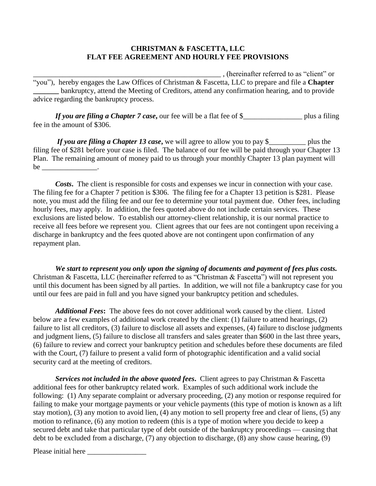## **CHRISTMAN & FASCETTA, LLC FLAT FEE AGREEMENT AND HOURLY FEE PROVISIONS**

\_\_\_\_\_\_\_\_\_\_\_\_\_\_\_\_\_\_\_\_\_\_\_\_\_\_\_\_\_\_\_\_\_\_\_\_\_\_\_\_\_\_\_\_\_\_\_\_\_\_\_ , (hereinafter referred to as "client" or "you"), hereby engages the Law Offices of Christman & Fascetta, LLC to prepare and file a **Chapter** bankruptcy, attend the Meeting of Creditors, attend any confirmation hearing, and to provide advice regarding the bankruptcy process.

*If you are filing a Chapter 7 case*, our fee will be a flat fee of \$\_\_\_\_\_\_\_\_\_\_\_\_\_\_\_\_\_\_\_ plus a filing fee in the amount of \$306.

*If you are filing a Chapter 13 case*, we will agree to allow you to pay \$\_\_\_\_\_\_\_\_\_\_ plus the filing fee of \$281 before your case is filed. The balance of our fee will be paid through your Chapter 13 Plan. The remaining amount of money paid to us through your monthly Chapter 13 plan payment will  $be$   $\qquad \qquad$ 

*Costs***.** The client is responsible for costs and expenses we incur in connection with your case. The filing fee for a Chapter 7 petition is \$306. The filing fee for a Chapter 13 petition is \$281. Please note, you must add the filing fee and our fee to determine your total payment due. Other fees, including hourly fees, may apply. In addition, the fees quoted above do not include certain services. These exclusions are listed below. To establish our attorney-client relationship, it is our normal practice to receive all fees before we represent you. Client agrees that our fees are not contingent upon receiving a discharge in bankruptcy and the fees quoted above are not contingent upon confirmation of any repayment plan.

*We start to represent you only upon the signing of documents and payment of fees plus costs.*  Christman & Fascetta, LLC (hereinafter referred to as "Christman & Fascetta") will not represent you until this document has been signed by all parties. In addition, we will not file a bankruptcy case for you until our fees are paid in full and you have signed your bankruptcy petition and schedules.

*Additional Fees***:** The above fees do not cover additional work caused by the client. Listed below are a few examples of additional work created by the client: (1) failure to attend hearings, (2) failure to list all creditors, (3) failure to disclose all assets and expenses, (4) failure to disclose judgments and judgment liens, (5) failure to disclose all transfers and sales greater than \$600 in the last three years, (6) failure to review and correct your bankruptcy petition and schedules before these documents are filed with the Court, (7) failure to present a valid form of photographic identification and a valid social security card at the meeting of creditors.

*Services not included in the above quoted fees***.** Client agrees to pay Christman & Fascetta additional fees for other bankruptcy related work. Examples of such additional work include the following: (1) Any separate complaint or adversary proceeding, (2) any motion or response required for failing to make your mortgage payments or your vehicle payments (this type of motion is known as a lift stay motion), (3) any motion to avoid lien, (4) any motion to sell property free and clear of liens, (5) any motion to refinance, (6) any motion to redeem (this is a type of motion where you decide to keep a secured debt and take that particular type of debt outside of the bankruptcy proceedings — causing that debt to be excluded from a discharge, (7) any objection to discharge, (8) any show cause hearing, (9)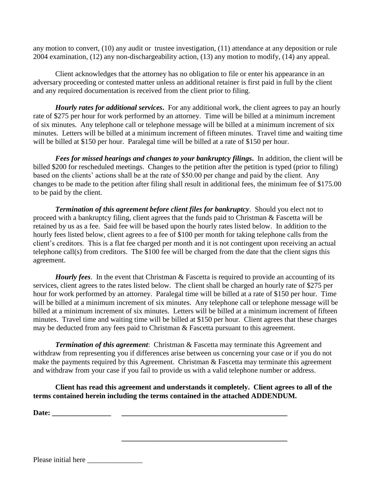any motion to convert, (10) any audit or trustee investigation, (11) attendance at any deposition or rule 2004 examination, (12) any non-dischargeability action, (13) any motion to modify, (14) any appeal.

Client acknowledges that the attorney has no obligation to file or enter his appearance in an adversary proceeding or contested matter unless an additional retainer is first paid in full by the client and any required documentation is received from the client prior to filing.

*Hourly rates for additional services***.** For any additional work, the client agrees to pay an hourly rate of \$275 per hour for work performed by an attorney. Time will be billed at a minimum increment of six minutes. Any telephone call or telephone message will be billed at a minimum increment of six minutes. Letters will be billed at a minimum increment of fifteen minutes. Travel time and waiting time will be billed at \$150 per hour. Paralegal time will be billed at a rate of \$150 per hour.

*Fees for missed hearings and changes to your bankruptcy filings***.** In addition, the client will be billed \$200 for rescheduled meetings. Changes to the petition after the petition is typed (prior to filing) based on the clients' actions shall be at the rate of \$50.00 per change and paid by the client. Any changes to be made to the petition after filing shall result in additional fees, the minimum fee of \$175.00 to be paid by the client.

*Termination of this agreement before client files for bankruptcy*. Should you elect not to proceed with a bankruptcy filing, client agrees that the funds paid to Christman & Fascetta will be retained by us as a fee. Said fee will be based upon the hourly rates listed below. In addition to the hourly fees listed below, client agrees to a fee of \$100 per month for taking telephone calls from the client's creditors. This is a flat fee charged per month and it is not contingent upon receiving an actual telephone call(s) from creditors. The \$100 fee will be charged from the date that the client signs this agreement.

*Hourly fees*. In the event that Christman & Fascetta is required to provide an accounting of its services, client agrees to the rates listed below. The client shall be charged an hourly rate of \$275 per hour for work performed by an attorney. Paralegal time will be billed at a rate of \$150 per hour. Time will be billed at a minimum increment of six minutes. Any telephone call or telephone message will be billed at a minimum increment of six minutes. Letters will be billed at a minimum increment of fifteen minutes. Travel time and waiting time will be billed at \$150 per hour. Client agrees that these charges may be deducted from any fees paid to Christman & Fascetta pursuant to this agreement.

*Termination of this agreement*: Christman & Fascetta may terminate this Agreement and withdraw from representing you if differences arise between us concerning your case or if you do not make the payments required by this Agreement. Christman & Fascetta may terminate this agreement and withdraw from your case if you fail to provide us with a valid telephone number or address.

**Client has read this agreement and understands it completely. Client agrees to all of the terms contained herein including the terms contained in the attached ADDENDUM.**

**\_\_\_\_\_\_\_\_\_\_\_\_\_\_\_\_\_\_\_\_\_\_\_\_\_\_\_\_\_\_\_\_\_\_\_\_\_\_\_\_\_\_\_\_\_**

**Date:**  $\blacksquare$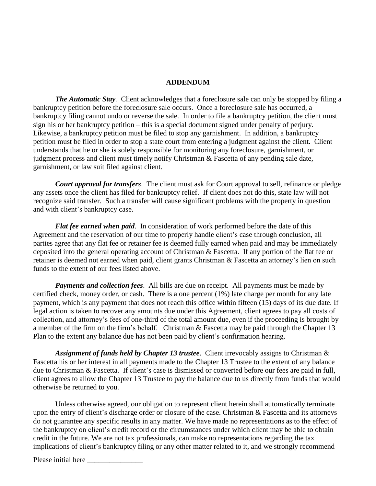## **ADDENDUM**

*The Automatic Stay.* Client acknowledges that a foreclosure sale can only be stopped by filing a bankruptcy petition before the foreclosure sale occurs. Once a foreclosure sale has occurred, a bankruptcy filing cannot undo or reverse the sale. In order to file a bankruptcy petition, the client must sign his or her bankruptcy petition – this is a special document signed under penalty of perjury. Likewise, a bankruptcy petition must be filed to stop any garnishment. In addition, a bankruptcy petition must be filed in order to stop a state court from entering a judgment against the client. Client understands that he or she is solely responsible for monitoring any foreclosure, garnishment, or judgment process and client must timely notify Christman & Fascetta of any pending sale date, garnishment, or law suit filed against client.

*Court approval for transfers*. The client must ask for Court approval to sell, refinance or pledge any assets once the client has filed for bankruptcy relief. If client does not do this, state law will not recognize said transfer. Such a transfer will cause significant problems with the property in question and with client's bankruptcy case.

*Flat fee earned when paid*. In consideration of work performed before the date of this Agreement and the reservation of our time to properly handle client's case through conclusion, all parties agree that any flat fee or retainer fee is deemed fully earned when paid and may be immediately deposited into the general operating account of Christman & Fascetta. If any portion of the flat fee or retainer is deemed not earned when paid, client grants Christman & Fascetta an attorney's lien on such funds to the extent of our fees listed above.

*Payments and collection fees*. All bills are due on receipt. All payments must be made by certified check, money order, or cash. There is a one percent (1%) late charge per month for any late payment, which is any payment that does not reach this office within fifteen (15) days of its due date. If legal action is taken to recover any amounts due under this Agreement, client agrees to pay all costs of collection, and attorney's fees of one-third of the total amount due, even if the proceeding is brought by a member of the firm on the firm's behalf. Christman & Fascetta may be paid through the Chapter 13 Plan to the extent any balance due has not been paid by client's confirmation hearing.

*Assignment of funds held by Chapter 13 trustee*. Client irrevocably assigns to Christman & Fascetta his or her interest in all payments made to the Chapter 13 Trustee to the extent of any balance due to Christman & Fascetta. If client's case is dismissed or converted before our fees are paid in full, client agrees to allow the Chapter 13 Trustee to pay the balance due to us directly from funds that would otherwise be returned to you.

Unless otherwise agreed, our obligation to represent client herein shall automatically terminate upon the entry of client's discharge order or closure of the case. Christman & Fascetta and its attorneys do not guarantee any specific results in any matter. We have made no representations as to the effect of the bankruptcy on client's credit record or the circumstances under which client may be able to obtain credit in the future. We are not tax professionals, can make no representations regarding the tax implications of client's bankruptcy filing or any other matter related to it, and we strongly recommend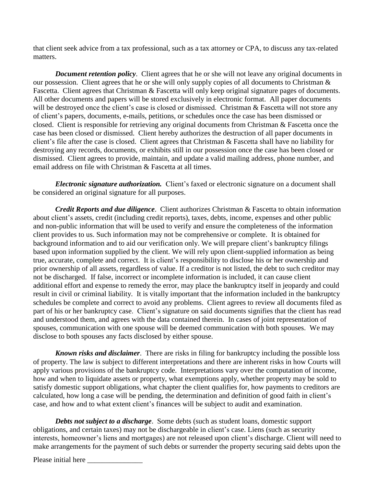that client seek advice from a tax professional, such as a tax attorney or CPA, to discuss any tax-related matters.

*Document retention policy*. Client agrees that he or she will not leave any original documents in our possession. Client agrees that he or she will only supply copies of all documents to Christman & Fascetta. Client agrees that Christman & Fascetta will only keep original signature pages of documents. All other documents and papers will be stored exclusively in electronic format. All paper documents will be destroyed once the client's case is closed or dismissed. Christman & Fascetta will not store any of client's papers, documents, e-mails, petitions, or schedules once the case has been dismissed or closed. Client is responsible for retrieving any original documents from Christman & Fascetta once the case has been closed or dismissed. Client hereby authorizes the destruction of all paper documents in client's file after the case is closed. Client agrees that Christman & Fascetta shall have no liability for destroying any records, documents, or exhibits still in our possession once the case has been closed or dismissed. Client agrees to provide, maintain, and update a valid mailing address, phone number, and email address on file with Christman & Fascetta at all times.

*Electronic signature authorization.* Client's faxed or electronic signature on a document shall be considered an original signature for all purposes.

*Credit Reports and due diligence*. Client authorizes Christman & Fascetta to obtain information about client's assets, credit (including credit reports), taxes, debts, income, expenses and other public and non-public information that will be used to verify and ensure the completeness of the information client provides to us. Such information may not be comprehensive or complete. It is obtained for background information and to aid our verification only. We will prepare client's bankruptcy filings based upon information supplied by the client. We will rely upon client-supplied information as being true, accurate, complete and correct. It is client's responsibility to disclose his or her ownership and prior ownership of all assets, regardless of value. If a creditor is not listed, the debt to such creditor may not be discharged. If false, incorrect or incomplete information is included, it can cause client additional effort and expense to remedy the error, may place the bankruptcy itself in jeopardy and could result in civil or criminal liability. It is vitally important that the information included in the bankruptcy schedules be complete and correct to avoid any problems. Client agrees to review all documents filed as part of his or her bankruptcy case. Client's signature on said documents signifies that the client has read and understood them, and agrees with the data contained therein. In cases of joint representation of spouses, communication with one spouse will be deemed communication with both spouses. We may disclose to both spouses any facts disclosed by either spouse.

*Known risks and disclaimer*. There are risks in filing for bankruptcy including the possible loss of property. The law is subject to different interpretations and there are inherent risks in how Courts will apply various provisions of the bankruptcy code. Interpretations vary over the computation of income, how and when to liquidate assets or property, what exemptions apply, whether property may be sold to satisfy domestic support obligations, what chapter the client qualifies for, how payments to creditors are calculated, how long a case will be pending, the determination and definition of good faith in client's case, and how and to what extent client's finances will be subject to audit and examination.

**Debts not subject to a discharge.** Some debts (such as student loans, domestic support obligations, and certain taxes) may not be dischargeable in client's case. Liens (such as security interests, homeowner's liens and mortgages) are not released upon client's discharge. Client will need to make arrangements for the payment of such debts or surrender the property securing said debts upon the

Please initial here \_\_\_\_\_\_\_\_\_\_\_\_\_\_\_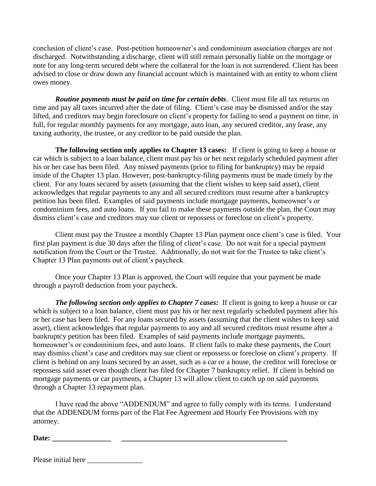conclusion of client's case. Post-petition homeowner's and condominium association charges are not discharged. Notwithstanding a discharge, client will still remain personally liable on the mortgage or note for any long-term secured debt where the collateral for the loan is not surrendered. Client has been advised to close or draw down any financial account which is maintained with an entity to whom client owes money.

*Routine payments must be paid on time for certain debts*. Client must file all tax returns on time and pay all taxes incurred after the date of filing. Client's case may be dismissed and/or the stay lifted, and creditors may begin foreclosure on client's property for failing to send a payment on time, in full, for regular monthly payments for any mortgage, auto loan, any secured creditor, any lease, any taxing authority, the trustee, or any creditor to be paid outside the plan.

**The following section only applies to Chapter 13 cases:** If client is going to keep a house or car which is subject to a loan balance, client must pay his or her next regularly scheduled payment after his or her case has been filed. Any missed payments (prior to filing for bankruptcy) may be repaid inside of the Chapter 13 plan. However, post-bankruptcy-filing payments must be made timely by the client. For any loans secured by assets (assuming that the client wishes to keep said asset), client acknowledges that regular payments to any and all secured creditors must resume after a bankruptcy petition has been filed. Examples of said payments include mortgage payments, homeowner's or condominium fees, and auto loans. If you fail to make these payments outside the plan, the Court may dismiss client's case and creditors may sue client or repossess or foreclose on client's property.

Client must pay the Trustee a monthly Chapter 13 Plan payment once client's case is filed. Your first plan payment is due 30 days after the filing of client's case. Do not wait for a special payment notification from the Court or the Trustee. Additionally, do not wait for the Trustee to take client's Chapter 13 Plan payments out of client's paycheck.

Once your Chapter 13 Plan is approved, the Court will require that your payment be made through a payroll deduction from your paycheck.

*The following section only applies to Chapter 7 cases:* If client is going to keep a house or car which is subject to a loan balance, client must pay his or her next regularly scheduled payment after his or her case has been filed. For any loans secured by assets (assuming that the client wishes to keep said asset), client acknowledges that regular payments to any and all secured creditors must resume after a bankruptcy petition has been filed. Examples of said payments include mortgage payments, homeowner's or condominium fees, and auto loans. If client fails to make these payments, the Court may dismiss client's case and creditors may sue client or repossess or foreclose on client's property. If client is behind on any loans secured by an asset, such as a car or a house, the creditor will foreclose or repossess said asset even though client has filed for Chapter 7 bankruptcy relief. If client is behind on mortgage payments or car payments, a Chapter 13 will allow client to catch up on said payments through a Chapter 13 repayment plan.

I have read the above "ADDENDUM" and agree to fully comply with its terms. I understand that the ADDENDUM forms part of the Flat Fee Agreement and Hourly Fee Provisions with my attorney.

**Date: \_\_\_\_\_\_\_\_\_\_\_\_\_\_\_\_ \_\_\_\_\_\_\_\_\_\_\_\_\_\_\_\_\_\_\_\_\_\_\_\_\_\_\_\_\_\_\_\_\_\_\_\_\_\_\_\_\_\_\_\_\_**